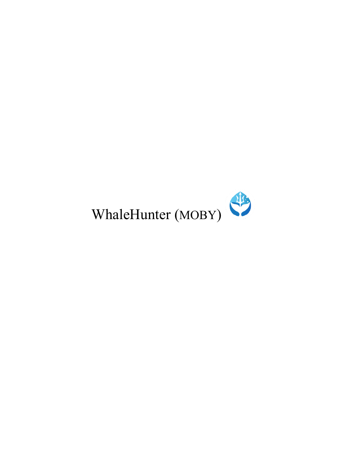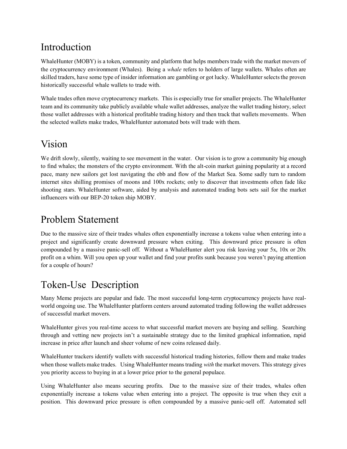## Introduction

WhaleHunter (MOBY) is a token, community and platform that helps members trade with the market movers of the cryptocurrency environment (Whales). Being a *whale* refers to holders of large wallets. Whales often are skilled traders, have some type of insider information are gambling or got lucky. WhaleHunter selects the proven historically successful whale wallets to trade with.

Whale trades often move cryptocurrency markets. This is especially true for smaller projects. The WhaleHunter team and its community take publicly available whale wallet addresses, analyze the wallet trading history, select those wallet addresses with a historical profitable trading history and then track that wallets movements. When the selected wallets make trades, WhaleHunter automated bots will trade with them.

## Vision

We drift slowly, silently, waiting to see movement in the water. Our vision is to grow a community big enough to find whales; the monsters of the crypto environment. With the alt-coin market gaining popularity at a record pace, many new sailors get lost navigating the ebb and flow of the Market Sea. Some sadly turn to random internet sites shilling promises of moons and 100x rockets; only to discover that investments often fade like shooting stars. WhaleHunter software, aided by analysis and automated trading bots sets sail for the market influencers with our BEP-20 token ship MOBY.

## Problem Statement

Due to the massive size of their trades whales often exponentially increase a tokens value when entering into a project and significantly create downward pressure when exiting. This downward price pressure is often compounded by a massive panic-sell off. Without a WhaleHunter alert you risk leaving your 5x, 10x or 20x profit on a whim. Will you open up your wallet and find your profits sunk because you weren't paying attention for a couple of hours?

## Token-Use Description

Many Meme projects are popular and fade. The most successful long-term cryptocurrency projects have realworld ongoing use. The WhaleHunter platform centers around automated trading following the wallet addresses of successful market movers.

WhaleHunter gives you real-time access to what successful market movers are buying and selling. Searching through and vetting new projects isn't a sustainable strategy due to the limited graphical information, rapid increase in price after launch and sheer volume of new coins released daily.

WhaleHunter trackers identify wallets with successful historical trading histories, follow them and make trades when those wallets make trades. Using WhaleHunter means trading *with* the market movers. This strategy gives you priority access to buying in at a lower price prior to the general populace.

Using WhaleHunter also means securing profits. Due to the massive size of their trades, whales often exponentially increase a tokens value when entering into a project. The opposite is true when they exit a position. This downward price pressure is often compounded by a massive panic-sell off. Automated sell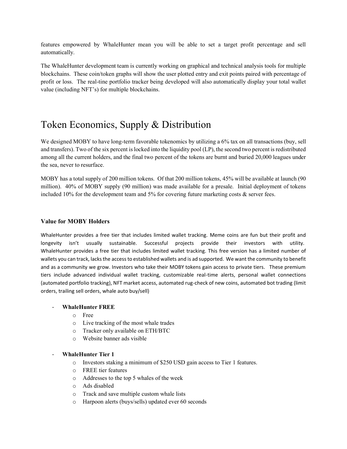features empowered by WhaleHunter mean you will be able to set a target profit percentage and sell automatically.

The WhaleHunter development team is currently working on graphical and technical analysis tools for multiple blockchains. These coin/token graphs will show the user plotted entry and exit points paired with percentage of profit or loss. The real-tine portfolio tracker being developed will also automatically display your total wallet value (including NFT's) for multiple blockchains.

## Token Economics, Supply & Distribution

We designed MOBY to have long-term favorable tokenomics by utilizing a 6% tax on all transactions (buy, sell and transfers). Two of the six percent is locked into the liquidity pool (LP), the second two percent is redistributed among all the current holders, and the final two percent of the tokens are burnt and buried 20,000 leagues under the sea, never to resurface.

MOBY has a total supply of 200 million tokens. Of that 200 million tokens, 45% will be available at launch (90 million). 40% of MOBY supply (90 million) was made available for a presale. Initial deployment of tokens included 10% for the development team and 5% for covering future marketing costs  $\&$  server fees.

#### **Value for MOBY Holders**

WhaleHunter provides a free tier that includes limited wallet tracking. Meme coins are fun but their profit and longevity isn't usually sustainable. Successful projects provide their investors with utility. WhaleHunter provides a free tier that includes limited wallet tracking. This free version has a limited number of wallets you can track, lacks the access to established wallets and is ad supported. We want the community to benefit and as a community we grow. Investors who take their MOBY tokens gain access to private tiers. These premium tiers include advanced individual wallet tracking, customizable real-time alerts, personal wallet connections (automated portfolio tracking), NFT market access, automated rug-check of new coins, automated bot trading (limit orders, trailing sell orders, whale auto buy/sell)

#### - **WhaleHunter FREE**

- o Free
- o Live tracking of the most whale trades
- o Tracker only available on ETH/BTC
- o Website banner ads visible

#### - **WhaleHunter Tier 1**

- o Investors staking a minimum of \$250 USD gain access to Tier 1 features.
- o FREE tier features
- o Addresses to the top 5 whales of the week
- o Ads disabled
- o Track and save multiple custom whale lists
- o Harpoon alerts (buys/sells) updated ever 60 seconds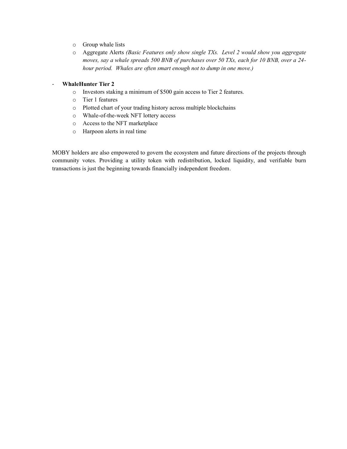- o Group whale lists
- o Aggregate Alerts *(Basic Features only show single TXs. Level 2 would show you aggregate moves, say a whale spreads 500 BNB of purchases over 50 TXs, each for 10 BNB, over a 24 hour period. Whales are often smart enough not to dump in one move.)*

#### - **WhaleHunter Tier 2**

- o Investors staking a minimum of \$500 gain access to Tier 2 features.
- o Tier 1 features
- o Plotted chart of your trading history across multiple blockchains
- o Whale-of-the-week NFT lottery access
- o Access to the NFT marketplace
- o Harpoon alerts in real time

MOBY holders are also empowered to govern the ecosystem and future directions of the projects through community votes. Providing a utility token with redistribution, locked liquidity, and verifiable burn transactions is just the beginning towards financially independent freedom.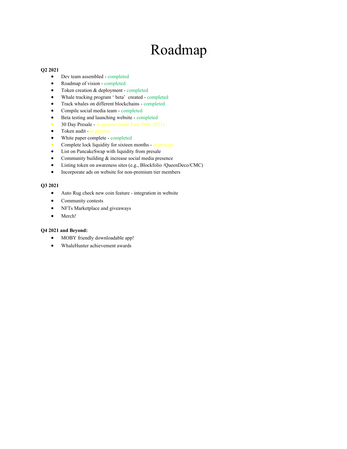# Roadmap

#### **Q2 2021**

- Dev team assembled completed
- Roadmap of vision completed
- Token creation & deployment completed
- Whale tracking program ' beta' created completed
- Track whales on different blockchains completed
- Compile social media team completed
- Beta testing and launching website completed
- 30 Day Presale in process (ends June 20th, 2021)
- Token audit in process
- White paper complete completed
- Complete lock liquidity for sixteen months in process
- List on PancakeSwap with liquidity from presale
- Community building & increase social media presence
- Listing token on awareness sites (e.g., Blockfolio /QueenDeco/CMC)
- Incorporate ads on website for non-premium tier members

#### **Q3 2021**

- Auto Rug check new coin feature integration in website
- Community contests
- NFTs Marketplace and giveaways
- Merch!

#### **Q4 2021 and Beyond:**

- MOBY friendly downloadable app!
- WhaleHunter achievement awards